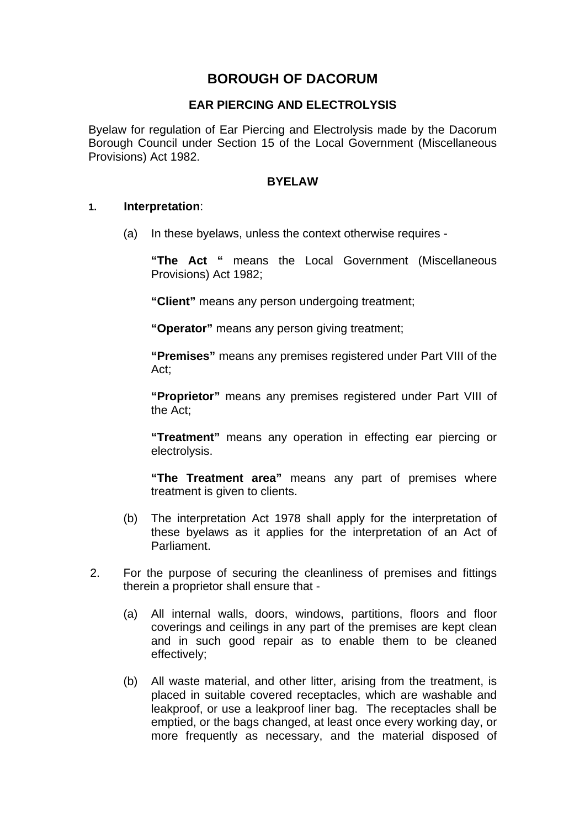# **BOROUGH OF DACORUM**

### **EAR PIERCING AND ELECTROLYSIS**

Byelaw for regulation of Ear Piercing and Electrolysis made by the Dacorum Borough Council under Section 15 of the Local Government (Miscellaneous Provisions) Act 1982.

#### **BYELAW**

#### **1. Interpretation**:

(a) In these byelaws, unless the context otherwise requires -

**"The Act "** means the Local Government (Miscellaneous Provisions) Act 1982;

**"Client"** means any person undergoing treatment;

**"Operator"** means any person giving treatment;

**"Premises"** means any premises registered under Part VIII of the Act;

**"Proprietor"** means any premises registered under Part VIII of the Act;

**"Treatment"** means any operation in effecting ear piercing or electrolysis.

**"The Treatment area"** means any part of premises where treatment is given to clients.

- (b) The interpretation Act 1978 shall apply for the interpretation of these byelaws as it applies for the interpretation of an Act of Parliament.
- 2. For the purpose of securing the cleanliness of premises and fittings therein a proprietor shall ensure that -
	- (a) All internal walls, doors, windows, partitions, floors and floor coverings and ceilings in any part of the premises are kept clean and in such good repair as to enable them to be cleaned effectively;
	- (b) All waste material, and other litter, arising from the treatment, is placed in suitable covered receptacles, which are washable and leakproof, or use a leakproof liner bag. The receptacles shall be emptied, or the bags changed, at least once every working day, or more frequently as necessary, and the material disposed of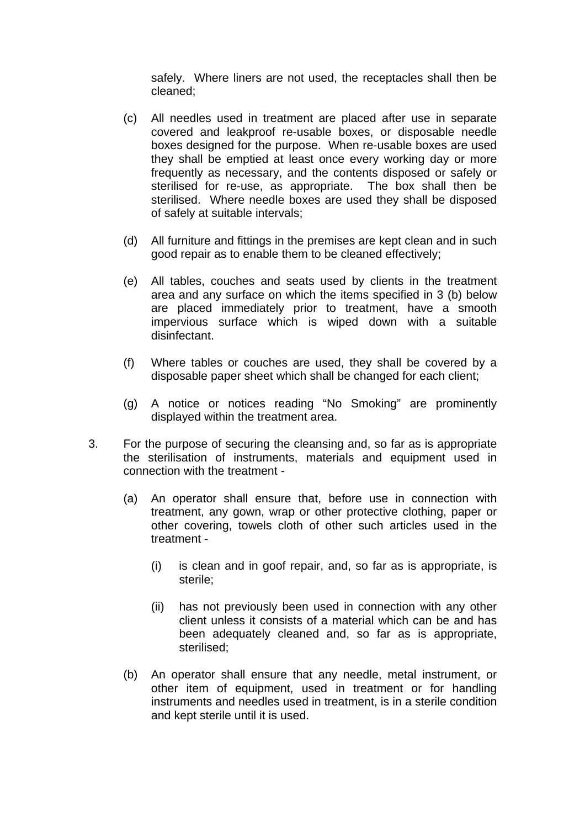safely. Where liners are not used, the receptacles shall then be cleaned;

- (c) All needles used in treatment are placed after use in separate covered and leakproof re-usable boxes, or disposable needle boxes designed for the purpose. When re-usable boxes are used they shall be emptied at least once every working day or more frequently as necessary, and the contents disposed or safely or sterilised for re-use, as appropriate. The box shall then be sterilised. Where needle boxes are used they shall be disposed of safely at suitable intervals;
- (d) All furniture and fittings in the premises are kept clean and in such good repair as to enable them to be cleaned effectively;
- (e) All tables, couches and seats used by clients in the treatment area and any surface on which the items specified in 3 (b) below are placed immediately prior to treatment, have a smooth impervious surface which is wiped down with a suitable disinfectant.
- (f) Where tables or couches are used, they shall be covered by a disposable paper sheet which shall be changed for each client;
- (g) A notice or notices reading "No Smoking" are prominently displayed within the treatment area.
- 3. For the purpose of securing the cleansing and, so far as is appropriate the sterilisation of instruments, materials and equipment used in connection with the treatment -
	- (a) An operator shall ensure that, before use in connection with treatment, any gown, wrap or other protective clothing, paper or other covering, towels cloth of other such articles used in the treatment -
		- (i) is clean and in goof repair, and, so far as is appropriate, is sterile;
		- (ii) has not previously been used in connection with any other client unless it consists of a material which can be and has been adequately cleaned and, so far as is appropriate, sterilised;
	- (b) An operator shall ensure that any needle, metal instrument, or other item of equipment, used in treatment or for handling instruments and needles used in treatment, is in a sterile condition and kept sterile until it is used.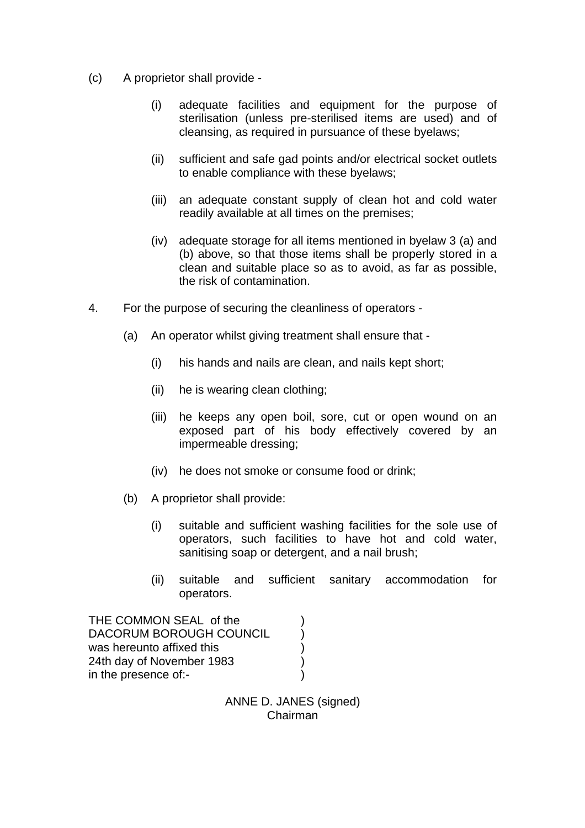- (c) A proprietor shall provide
	- (i) adequate facilities and equipment for the purpose of sterilisation (unless pre-sterilised items are used) and of cleansing, as required in pursuance of these byelaws;
	- (ii) sufficient and safe gad points and/or electrical socket outlets to enable compliance with these byelaws;
	- (iii) an adequate constant supply of clean hot and cold water readily available at all times on the premises;
	- (iv) adequate storage for all items mentioned in byelaw 3 (a) and (b) above, so that those items shall be properly stored in a clean and suitable place so as to avoid, as far as possible, the risk of contamination.
- 4. For the purpose of securing the cleanliness of operators
	- (a) An operator whilst giving treatment shall ensure that
		- (i) his hands and nails are clean, and nails kept short;
		- (ii) he is wearing clean clothing;
		- (iii) he keeps any open boil, sore, cut or open wound on an exposed part of his body effectively covered by an impermeable dressing;
		- (iv) he does not smoke or consume food or drink;
	- (b) A proprietor shall provide:
		- (i) suitable and sufficient washing facilities for the sole use of operators, such facilities to have hot and cold water, sanitising soap or detergent, and a nail brush;
		- (ii) suitable and sufficient sanitary accommodation for operators.

THE COMMON SEAL of the DACORUM BOROUGH COUNCIL was hereunto affixed this (a) 24th day of November 1983 ) in the presence of:-

> ANNE D. JANES (signed) Chairman